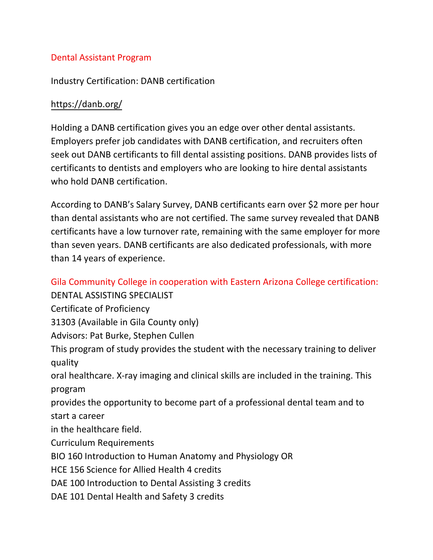## Dental Assistant Program

## Industry Certification: DANB certification

## <https://danb.org/>

Holding a DANB certification gives you an edge over other dental assistants. Employers prefer job candidates with DANB certification, and recruiters often seek out DANB certificants to fill dental assisting positions. DANB provides lists of certificants to dentists and employers who are looking to hire dental assistants who hold DANB certification.

According to DANB's Salary Survey, DANB certificants earn over \$2 more per hour than dental assistants who are not certified. The same survey revealed that DANB certificants have a low turnover rate, remaining with the same employer for more than seven years. DANB certificants are also dedicated professionals, with more than 14 years of experience.

Gila Community College in cooperation with Eastern Arizona College certification:

DENTAL ASSISTING SPECIALIST

Certificate of Proficiency

31303 (Available in Gila County only)

Advisors: Pat Burke, Stephen Cullen

This program of study provides the student with the necessary training to deliver quality

oral healthcare. X-ray imaging and clinical skills are included in the training. This program

provides the opportunity to become part of a professional dental team and to start a career

in the healthcare field.

Curriculum Requirements

BIO 160 Introduction to Human Anatomy and Physiology OR

HCE 156 Science for Allied Health 4 credits

DAE 100 Introduction to Dental Assisting 3 credits

DAE 101 Dental Health and Safety 3 credits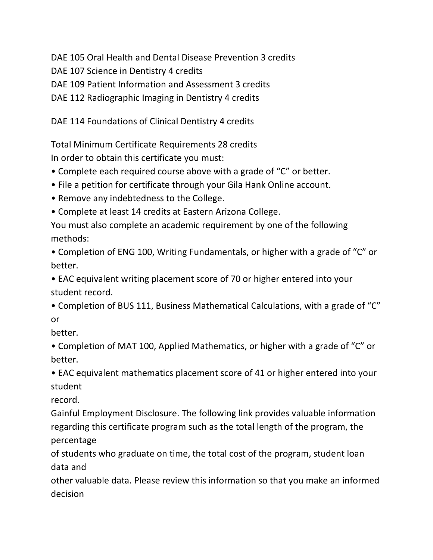DAE 105 Oral Health and Dental Disease Prevention 3 credits

DAE 107 Science in Dentistry 4 credits

DAE 109 Patient Information and Assessment 3 credits

DAE 112 Radiographic Imaging in Dentistry 4 credits

DAE 114 Foundations of Clinical Dentistry 4 credits

Total Minimum Certificate Requirements 28 credits In order to obtain this certificate you must:

- Complete each required course above with a grade of "C" or better.
- File a petition for certificate through your Gila Hank Online account.
- Remove any indebtedness to the College.
- Complete at least 14 credits at Eastern Arizona College.

You must also complete an academic requirement by one of the following methods:

• Completion of ENG 100, Writing Fundamentals, or higher with a grade of "C" or better.

• EAC equivalent writing placement score of 70 or higher entered into your student record.

• Completion of BUS 111, Business Mathematical Calculations, with a grade of "C" or

better.

• Completion of MAT 100, Applied Mathematics, or higher with a grade of "C" or better.

• EAC equivalent mathematics placement score of 41 or higher entered into your student

record.

Gainful Employment Disclosure. The following link provides valuable information regarding this certificate program such as the total length of the program, the percentage

of students who graduate on time, the total cost of the program, student loan data and

other valuable data. Please review this information so that you make an informed decision